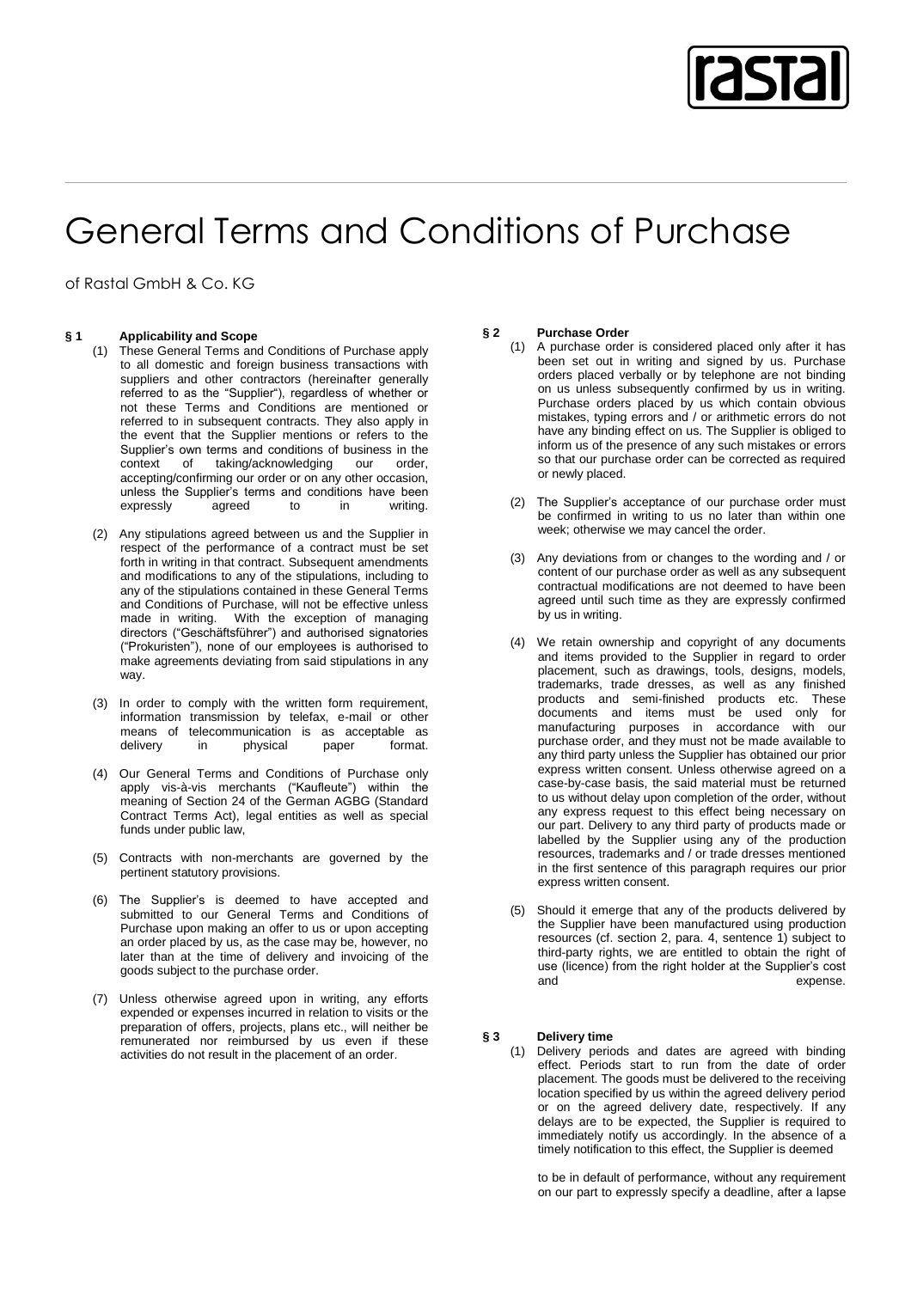

# General Terms and Conditions of Purchase

of Rastal GmbH & Co. KG

## **§ 1 Applicability and Scope**

- (1) These General Terms and Conditions of Purchase apply to all domestic and foreign business transactions with suppliers and other contractors (hereinafter generally referred to as the "Supplier"), regardless of whether or not these Terms and Conditions are mentioned or referred to in subsequent contracts. They also apply in the event that the Supplier mentions or refers to the Supplier's own terms and conditions of business in the context of taking/acknowledging our order, taking/acknowledging accepting/confirming our order or on any other occasion, unless the Supplier's terms and conditions have been<br>expressly agreed to in writing. expressly agreed to in writing.
- (2) Any stipulations agreed between us and the Supplier in respect of the performance of a contract must be set forth in writing in that contract. Subsequent amendments and modifications to any of the stipulations, including to any of the stipulations contained in these General Terms and Conditions of Purchase, will not be effective unless made in writing. With the exception of managing directors ("Geschäftsführer") and authorised signatories ("Prokuristen"), none of our employees is authorised to make agreements deviating from said stipulations in any way.
- (3) In order to comply with the written form requirement, information transmission by telefax, e-mail or other means of telecommunication is as acceptable as delivery in physical paper format.
- (4) Our General Terms and Conditions of Purchase only apply vis-à-vis merchants ("Kaufleute") within the meaning of Section 24 of the German AGBG (Standard Contract Terms Act), legal entities as well as special funds under public law,
- (5) Contracts with non-merchants are governed by the pertinent statutory provisions.
- (6) The Supplier's is deemed to have accepted and submitted to our General Terms and Conditions of Purchase upon making an offer to us or upon accepting an order placed by us, as the case may be, however, no later than at the time of delivery and invoicing of the goods subject to the purchase order.
- (7) Unless otherwise agreed upon in writing, any efforts expended or expenses incurred in relation to visits or the preparation of offers, projects, plans etc., will neither be remunerated nor reimbursed by us even if these activities do not result in the placement of an order.

#### **§ 2 Purchase Order**

- (1) A purchase order is considered placed only after it has been set out in writing and signed by us. Purchase orders placed verbally or by telephone are not binding on us unless subsequently confirmed by us in writing. Purchase orders placed by us which contain obvious mistakes, typing errors and / or arithmetic errors do not have any binding effect on us. The Supplier is obliged to inform us of the presence of any such mistakes or errors so that our purchase order can be corrected as required or newly placed.
- (2) The Supplier's acceptance of our purchase order must be confirmed in writing to us no later than within one week; otherwise we may cancel the order.
- (3) Any deviations from or changes to the wording and / or content of our purchase order as well as any subsequent contractual modifications are not deemed to have been agreed until such time as they are expressly confirmed by us in writing.
- (4) We retain ownership and copyright of any documents and items provided to the Supplier in regard to order placement, such as drawings, tools, designs, models, trademarks, trade dresses, as well as any finished products and semi-finished products etc. These documents and items must be used only for manufacturing purposes in accordance with our purchase order, and they must not be made available to any third party unless the Supplier has obtained our prior express written consent. Unless otherwise agreed on a case-by-case basis, the said material must be returned to us without delay upon completion of the order, without any express request to this effect being necessary on our part. Delivery to any third party of products made or labelled by the Supplier using any of the production resources, trademarks and / or trade dresses mentioned in the first sentence of this paragraph requires our prior express written consent.
- (5) Should it emerge that any of the products delivered by the Supplier have been manufactured using production resources (cf. section 2, para. 4, sentence 1) subject to third-party rights, we are entitled to obtain the right of use (licence) from the right holder at the Supplier's cost expense.

### **§ 3 Delivery time**

(1) Delivery periods and dates are agreed with binding effect. Periods start to run from the date of order placement. The goods must be delivered to the receiving location specified by us within the agreed delivery period or on the agreed delivery date, respectively. If any delays are to be expected, the Supplier is required to immediately notify us accordingly. In the absence of a timely notification to this effect, the Supplier is deemed

to be in default of performance, without any requirement on our part to expressly specify a deadline, after a lapse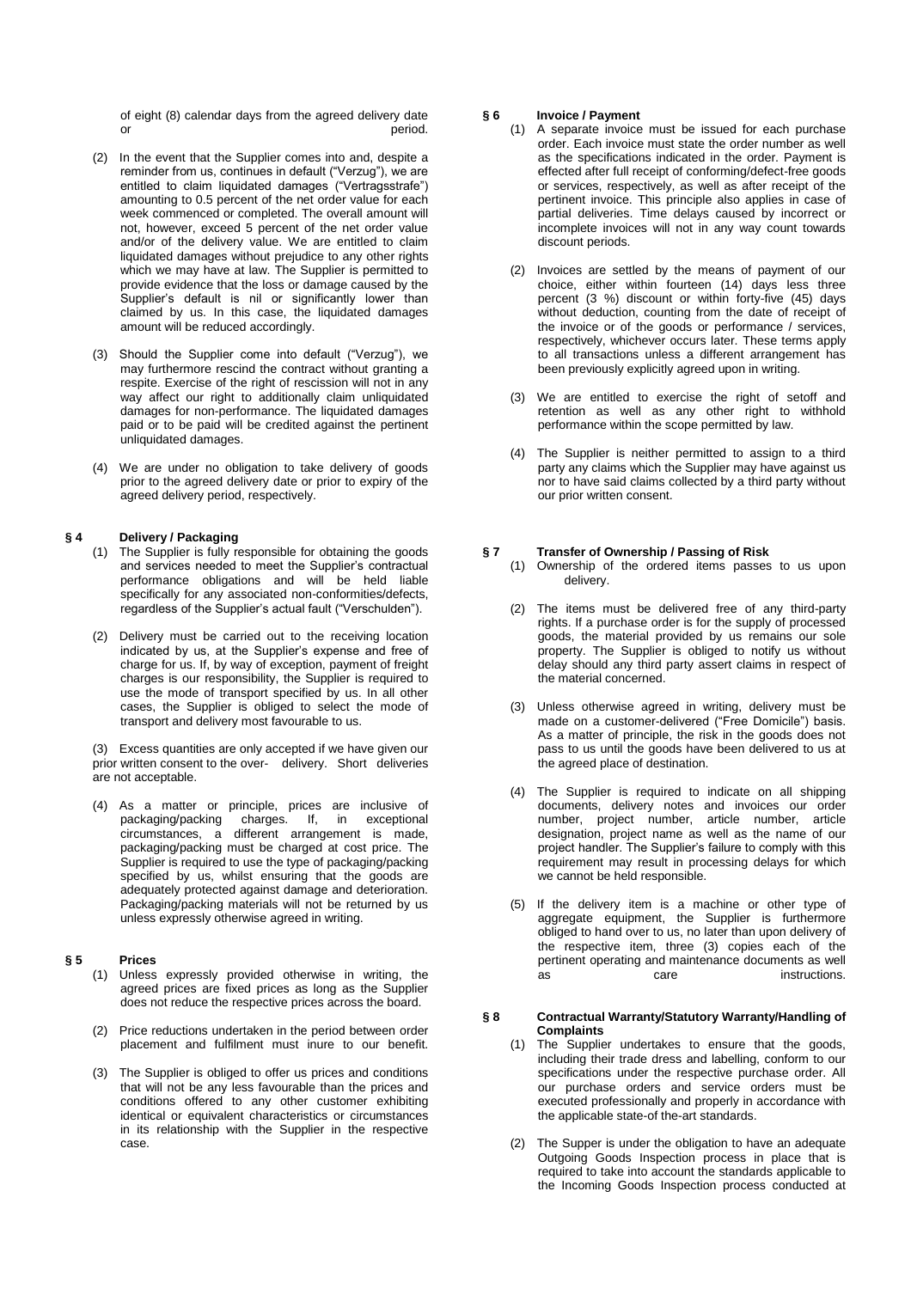of eight (8) calendar days from the agreed delivery date or **period.** 

- (2) In the event that the Supplier comes into and, despite a reminder from us, continues in default ("Verzug"), we are entitled to claim liquidated damages ("Vertragsstrafe") amounting to 0.5 percent of the net order value for each week commenced or completed. The overall amount will not, however, exceed 5 percent of the net order value and/or of the delivery value. We are entitled to claim liquidated damages without prejudice to any other rights which we may have at law. The Supplier is permitted to provide evidence that the loss or damage caused by the Supplier's default is nil or significantly lower than claimed by us. In this case, the liquidated damages amount will be reduced accordingly.
- (3) Should the Supplier come into default ("Verzug"), we may furthermore rescind the contract without granting a respite. Exercise of the right of rescission will not in any way affect our right to additionally claim unliquidated damages for non-performance. The liquidated damages paid or to be paid will be credited against the pertinent unliquidated damages.
- (4) We are under no obligation to take delivery of goods prior to the agreed delivery date or prior to expiry of the agreed delivery period, respectively.

#### **§ 4 Delivery / Packaging**

- (1) The Supplier is fully responsible for obtaining the goods and services needed to meet the Supplier's contractual performance obligations and will be held liable specifically for any associated non-conformities/defects, regardless of the Supplier's actual fault ("Verschulden").
- (2) Delivery must be carried out to the receiving location indicated by us, at the Supplier's expense and free of charge for us. If, by way of exception, payment of freight charges is our responsibility, the Supplier is required to use the mode of transport specified by us. In all other cases, the Supplier is obliged to select the mode of transport and delivery most favourable to us.

(3) Excess quantities are only accepted if we have given our prior written consent to the over- delivery. Short deliveries are not acceptable.

(4) As a matter or principle, prices are inclusive of packaging/packing charges. If, in exceptional circumstances, a different arrangement is made, packaging/packing must be charged at cost price. The Supplier is required to use the type of packaging/packing specified by us, whilst ensuring that the goods are adequately protected against damage and deterioration. Packaging/packing materials will not be returned by us unless expressly otherwise agreed in writing.

#### **§ 5 Prices**

- (1) Unless expressly provided otherwise in writing, the agreed prices are fixed prices as long as the Supplier does not reduce the respective prices across the board.
- (2) Price reductions undertaken in the period between order placement and fulfilment must inure to our benefit.
- (3) The Supplier is obliged to offer us prices and conditions that will not be any less favourable than the prices and conditions offered to any other customer exhibiting identical or equivalent characteristics or circumstances in its relationship with the Supplier in the respective case.

### **§ 6 Invoice / Payment**

- (1) A separate invoice must be issued for each purchase order. Each invoice must state the order number as well as the specifications indicated in the order. Payment is effected after full receipt of conforming/defect-free goods or services, respectively, as well as after receipt of the pertinent invoice. This principle also applies in case of partial deliveries. Time delays caused by incorrect or incomplete invoices will not in any way count towards discount periods.
- (2) Invoices are settled by the means of payment of our choice, either within fourteen (14) days less three percent (3 %) discount or within forty-five (45) days without deduction, counting from the date of receipt of the invoice or of the goods or performance / services, respectively, whichever occurs later. These terms apply to all transactions unless a different arrangement has been previously explicitly agreed upon in writing.
- (3) We are entitled to exercise the right of setoff and retention as well as any other right to withhold performance within the scope permitted by law.
- (4) The Supplier is neither permitted to assign to a third party any claims which the Supplier may have against us nor to have said claims collected by a third party without our prior written consent.

#### **§ 7 Transfer of Ownership / Passing of Risk**

- (1) Ownership of the ordered items passes to us upon delivery.
- (2) The items must be delivered free of any third-party rights. If a purchase order is for the supply of processed goods, the material provided by us remains our sole property. The Supplier is obliged to notify us without delay should any third party assert claims in respect of the material concerned.
- (3) Unless otherwise agreed in writing, delivery must be made on a customer-delivered ("Free Domicile") basis. As a matter of principle, the risk in the goods does not pass to us until the goods have been delivered to us at the agreed place of destination.
- (4) The Supplier is required to indicate on all shipping documents, delivery notes and invoices our order number, project number, article number, article designation, project name as well as the name of our project handler. The Supplier's failure to comply with this requirement may result in processing delays for which we cannot be held responsible.
- (5) If the delivery item is a machine or other type of aggregate equipment, the Supplier is furthermore obliged to hand over to us, no later than upon delivery of the respective item, three (3) copies each of the pertinent operating and maintenance documents as well as care care instructions.

# **§ 8 Contractual Warranty/Statutory Warranty/Handling of Complaints**

- (1) The Supplier undertakes to ensure that the goods, including their trade dress and labelling, conform to our specifications under the respective purchase order. All our purchase orders and service orders must be executed professionally and properly in accordance with the applicable state-of the-art standards.
- (2) The Supper is under the obligation to have an adequate Outgoing Goods Inspection process in place that is required to take into account the standards applicable to the Incoming Goods Inspection process conducted at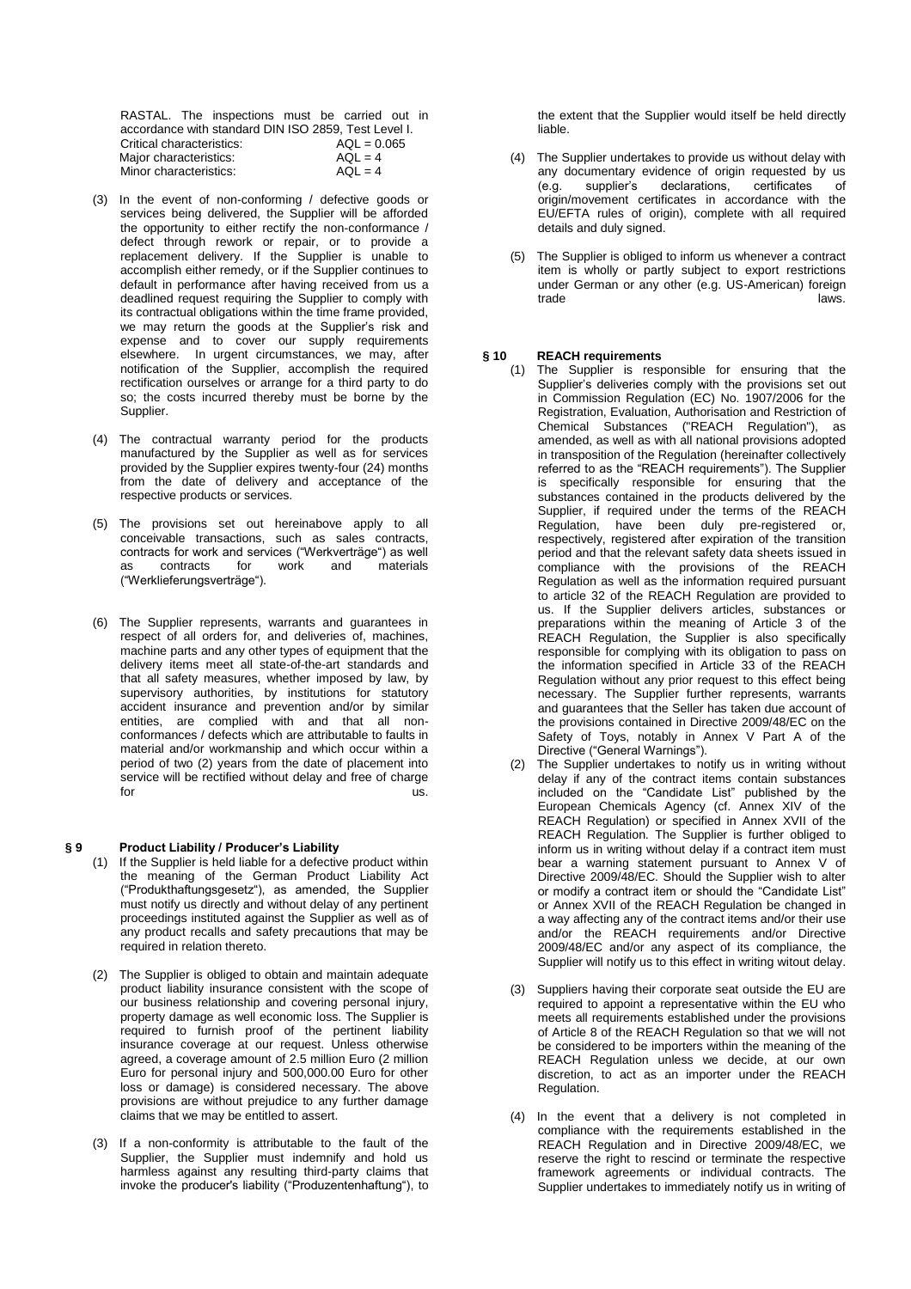RASTAL. The inspections must be carried out in accordance with standard DIN ISO 2859, Test Level I. Critical characteristics:  $AQL = 0$ <br>Maior characteristics:  $AQL = 4$ Major characteristics:  $AQL = 4$ <br>Minor characteristics:  $AQL = 4$ Minor characteristics:

- (3) In the event of non-conforming / defective goods or services being delivered, the Supplier will be afforded the opportunity to either rectify the non-conformance / defect through rework or repair, or to provide a replacement delivery. If the Supplier is unable to accomplish either remedy, or if the Supplier continues to default in performance after having received from us a deadlined request requiring the Supplier to comply with its contractual obligations within the time frame provided, we may return the goods at the Supplier's risk and expense and to cover our supply requirements elsewhere. In urgent circumstances, we may, after notification of the Supplier, accomplish the required rectification ourselves or arrange for a third party to do so; the costs incurred thereby must be borne by the Supplier.
- (4) The contractual warranty period for the products manufactured by the Supplier as well as for services provided by the Supplier expires twenty-four (24) months from the date of delivery and acceptance of the respective products or services.
- (5) The provisions set out hereinabove apply to all conceivable transactions, such as sales contracts, contracts for work and services ("Werkverträge") as well as contracts for work and materials ("Werklieferungsverträge").
- (6) The Supplier represents, warrants and guarantees in respect of all orders for, and deliveries of, machines, machine parts and any other types of equipment that the delivery items meet all state-of-the-art standards and that all safety measures, whether imposed by law, by supervisory authorities, by institutions for statutory accident insurance and prevention and/or by similar entities, are complied with and that all nonconformances / defects which are attributable to faults in material and/or workmanship and which occur within a period of two (2) years from the date of placement into service will be rectified without delay and free of charge for for the usual contract of the usual contract  $\sim$  us.

#### **§ 9 Product Liability / Producer's Liability**

- (1) If the Supplier is held liable for a defective product within the meaning of the German Product Liability Act ("Produkthaftungsgesetz"), as amended, the Supplier must notify us directly and without delay of any pertinent proceedings instituted against the Supplier as well as of any product recalls and safety precautions that may be required in relation thereto.
- (2) The Supplier is obliged to obtain and maintain adequate product liability insurance consistent with the scope of our business relationship and covering personal injury, property damage as well economic loss. The Supplier is required to furnish proof of the pertinent liability insurance coverage at our request. Unless otherwise agreed, a coverage amount of 2.5 million Euro (2 million Euro for personal injury and 500,000.00 Euro for other loss or damage) is considered necessary. The above provisions are without prejudice to any further damage claims that we may be entitled to assert.
- (3) If a non-conformity is attributable to the fault of the Supplier, the Supplier must indemnify and hold us harmless against any resulting third-party claims that invoke the producer's liability ("Produzentenhaftung"), to

the extent that the Supplier would itself be held directly liable.

- (4) The Supplier undertakes to provide us without delay with any documentary evidence of origin requested by us<br>(e.g. supplier's declarations, certificates of (e.g. supplier's declarations, certificates origin/movement certificates in accordance with the EU/EFTA rules of origin), complete with all required details and duly signed.
- (5) The Supplier is obliged to inform us whenever a contract item is wholly or partly subject to export restrictions under German or any other (e.g. US-American) foreign trade laws.

# **§ 10 REACH requirements**<br>(1) The Supplier is rest

- The Supplier is responsible for ensuring that the Supplier's deliveries comply with the provisions set out in Commission Regulation (EC) No. 1907/2006 for the Registration, Evaluation, Authorisation and Restriction of Chemical Substances ("REACH Regulation"), as amended, as well as with all national provisions adopted in transposition of the Regulation (hereinafter collectively referred to as the "REACH requirements"). The Supplier is specifically responsible for ensuring that the substances contained in the products delivered by the Supplier, if required under the terms of the REACH Regulation, have been duly pre-registered or, respectively, registered after expiration of the transition period and that the relevant safety data sheets issued in compliance with the provisions of the REACH Regulation as well as the information required pursuant to article 32 of the REACH Regulation are provided to us. If the Supplier delivers articles, substances or preparations within the meaning of Article 3 of the REACH Regulation, the Supplier is also specifically responsible for complying with its obligation to pass on the information specified in Article 33 of the REACH Regulation without any prior request to this effect being necessary. The Supplier further represents, warrants and guarantees that the Seller has taken due account of the provisions contained in Directive 2009/48/EC on the Safety of Toys, notably in Annex V Part A of the Directive ("General Warnings").
- (2) The Supplier undertakes to notify us in writing without delay if any of the contract items contain substances included on the "Candidate List" published by the European Chemicals Agency (cf. Annex XIV of the REACH Regulation) or specified in Annex XVII of the REACH Regulation. The Supplier is further obliged to inform us in writing without delay if a contract item must bear a warning statement pursuant to Annex V of Directive 2009/48/EC. Should the Supplier wish to alter or modify a contract item or should the "Candidate List" or Annex XVII of the REACH Regulation be changed in a way affecting any of the contract items and/or their use and/or the REACH requirements and/or Directive 2009/48/EC and/or any aspect of its compliance, the Supplier will notify us to this effect in writing witout delay.
- (3) Suppliers having their corporate seat outside the EU are required to appoint a representative within the EU who meets all requirements established under the provisions of Article 8 of the REACH Regulation so that we will not be considered to be importers within the meaning of the REACH Regulation unless we decide, at our own discretion, to act as an importer under the REACH Regulation.
- (4) In the event that a delivery is not completed in compliance with the requirements established in the REACH Regulation and in Directive 2009/48/EC, we reserve the right to rescind or terminate the respective framework agreements or individual contracts. The Supplier undertakes to immediately notify us in writing of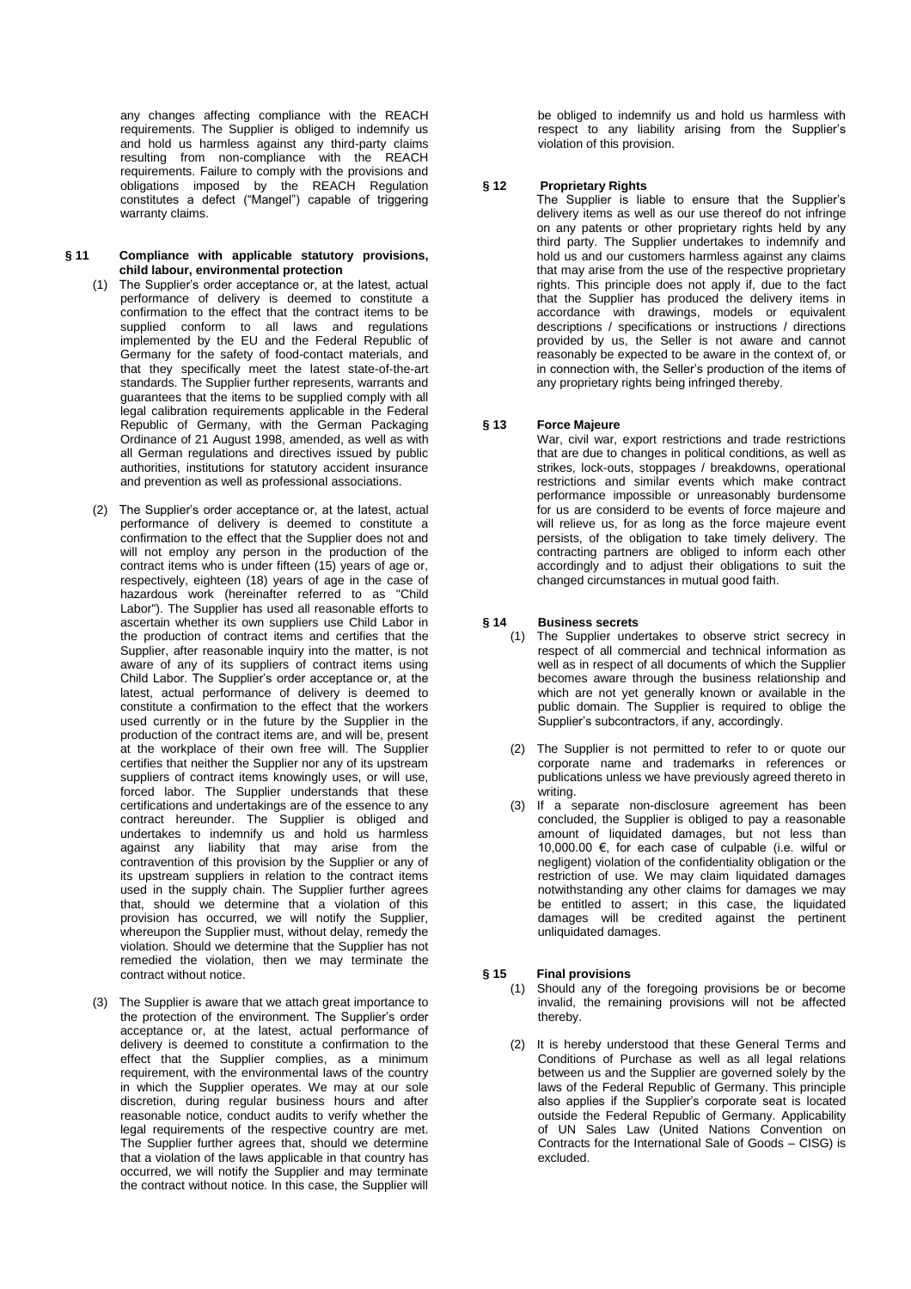any changes affecting compliance with the REACH requirements. The Supplier is obliged to indemnify us and hold us harmless against any third-party claims resulting from non-compliance with the REACH requirements. Failure to comply with the provisions and obligations imposed by the REACH Regulation constitutes a defect ("Mangel") capable of triggering warranty claims.

#### **§ 11 Compliance with applicable statutory provisions, child labour, environmental protection**

- (1) The Supplier's order acceptance or, at the latest, actual performance of delivery is deemed to constitute a confirmation to the effect that the contract items to be supplied conform to all laws and regulations implemented by the EU and the Federal Republic of Germany for the safety of food-contact materials, and that they specifically meet the latest state-of-the-art standards. The Supplier further represents, warrants and guarantees that the items to be supplied comply with all legal calibration requirements applicable in the Federal Republic of Germany, with the German Packaging Ordinance of 21 August 1998, amended, as well as with all German regulations and directives issued by public authorities, institutions for statutory accident insurance and prevention as well as professional associations.
- (2) The Supplier's order acceptance or, at the latest, actual performance of delivery is deemed to constitute a confirmation to the effect that the Supplier does not and will not employ any person in the production of the contract items who is under fifteen (15) years of age or, respectively, eighteen (18) years of age in the case of hazardous work (hereinafter referred to as "Child Labor"). The Supplier has used all reasonable efforts to ascertain whether its own suppliers use Child Labor in the production of contract items and certifies that the Supplier, after reasonable inquiry into the matter, is not aware of any of its suppliers of contract items using Child Labor. The Supplier's order acceptance or, at the latest, actual performance of delivery is deemed to constitute a confirmation to the effect that the workers used currently or in the future by the Supplier in the production of the contract items are, and will be, present at the workplace of their own free will. The Supplier certifies that neither the Supplier nor any of its upstream suppliers of contract items knowingly uses, or will use, forced labor. The Supplier understands that these certifications and undertakings are of the essence to any contract hereunder. The Supplier is obliged and undertakes to indemnify us and hold us harmless against any liability that may arise from the contravention of this provision by the Supplier or any of its upstream suppliers in relation to the contract items used in the supply chain. The Supplier further agrees that, should we determine that a violation of this provision has occurred, we will notify the Supplier, whereupon the Supplier must, without delay, remedy the violation. Should we determine that the Supplier has not remedied the violation, then we may terminate the contract without notice.
- (3) The Supplier is aware that we attach great importance to the protection of the environment. The Supplier's order acceptance or, at the latest, actual performance of delivery is deemed to constitute a confirmation to the effect that the Supplier complies, as a minimum requirement, with the environmental laws of the country in which the Supplier operates. We may at our sole discretion, during regular business hours and after reasonable notice, conduct audits to verify whether the legal requirements of the respective country are met. The Supplier further agrees that, should we determine that a violation of the laws applicable in that country has occurred, we will notify the Supplier and may terminate the contract without notice. In this case, the Supplier will

be obliged to indemnify us and hold us harmless with respect to any liability arising from the Supplier's violation of this provision.

# **§ 12 Proprietary Rights**

The Supplier is liable to ensure that the Supplier's delivery items as well as our use thereof do not infringe on any patents or other proprietary rights held by any third party. The Supplier undertakes to indemnify and hold us and our customers harmless against any claims that may arise from the use of the respective proprietary rights. This principle does not apply if, due to the fact that the Supplier has produced the delivery items in accordance with drawings, models or equivalent descriptions / specifications or instructions / directions provided by us, the Seller is not aware and cannot reasonably be expected to be aware in the context of, or in connection with, the Seller's production of the items of any proprietary rights being infringed thereby.

### **§ 13 Force Majeure**

War, civil war, export restrictions and trade restrictions that are due to changes in political conditions, as well as strikes, lock-outs, stoppages / breakdowns, operational restrictions and similar events which make contract performance impossible or unreasonably burdensome for us are considerd to be events of force majeure and will relieve us, for as long as the force majeure event persists, of the obligation to take timely delivery. The contracting partners are obliged to inform each other accordingly and to adjust their obligations to suit the changed circumstances in mutual good faith.

# **§ 14 Business secrets**

- The Supplier undertakes to observe strict secrecy in respect of all commercial and technical information as well as in respect of all documents of which the Supplier becomes aware through the business relationship and which are not yet generally known or available in the public domain. The Supplier is required to oblige the Supplier's subcontractors, if any, accordingly.
- (2) The Supplier is not permitted to refer to or quote our corporate name and trademarks in references or publications unless we have previously agreed thereto in writing.
- (3) If a separate non-disclosure agreement has been concluded, the Supplier is obliged to pay a reasonable amount of liquidated damages, but not less than 10,000.00 €, for each case of culpable (i.e. wilful or negligent) violation of the confidentiality obligation or the restriction of use. We may claim liquidated damages notwithstanding any other claims for damages we may be entitled to assert; in this case, the liquidated damages will be credited against the pertinent unliquidated damages.

## **§ 15 Final provisions**

- (1) Should any of the foregoing provisions be or become invalid, the remaining provisions will not be affected thereby.
- (2) It is hereby understood that these General Terms and Conditions of Purchase as well as all legal relations between us and the Supplier are governed solely by the laws of the Federal Republic of Germany. This principle also applies if the Supplier's corporate seat is located outside the Federal Republic of Germany. Applicability of UN Sales Law (United Nations Convention on Contracts for the International Sale of Goods – CISG) is excluded.